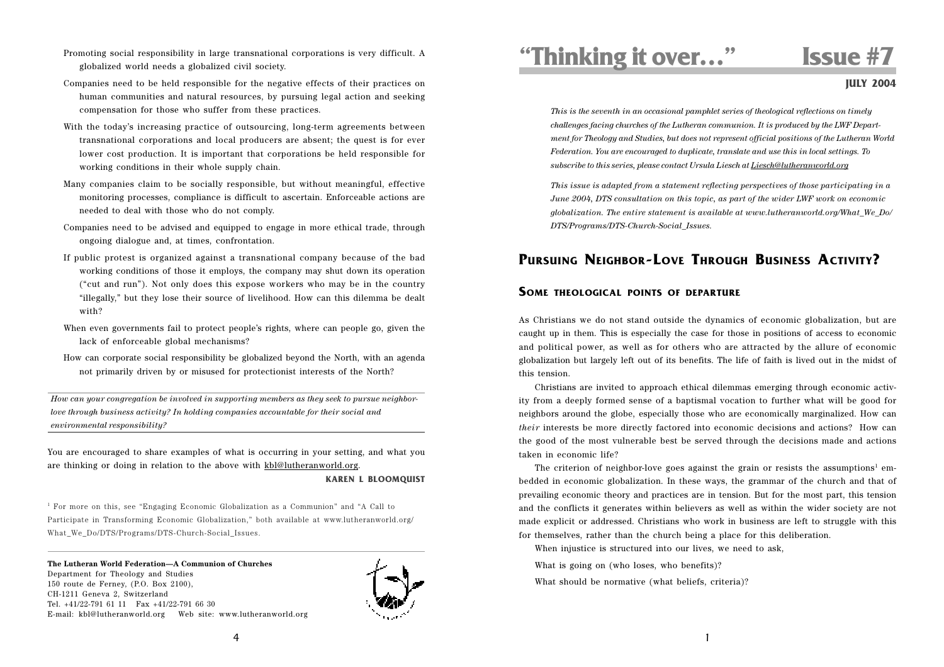- Promoting social responsibility in large transnational corporations is very difficult. A globalized world needs a globalized civil society.
- Companies need to be held responsible for the negative effects of their practices on human communities and natural resources, by pursuing legal action and seeking compensation for those who suffer from these practices.
- With the today's increasing practice of outsourcing, long-term agreements between transnational corporations and local producers are absent; the quest is for ever lower cost production. It is important that corporations be held responsible for working conditions in their whole supply chain.
- Many companies claim to be socially responsible, but without meaningful, effective monitoring processes, compliance is difficult to ascertain. Enforceable actions are needed to deal with those who do not comply.
- Companies need to be advised and equipped to engage in more ethical trade, through ongoing dialogue and, at times, confrontation.
- If public protest is organized against a transnational company because of the bad working conditions of those it employs, the company may shut down its operation ("cut and run"). Not only does this expose workers who may be in the country "illegally," but they lose their source of livelihood. How can this dilemma be dealt with?
- When even governments fail to protect people's rights, where can people go, given the lack of enforceable global mechanisms?
- How can corporate social responsibility be globalized beyond the North, with an agenda not primarily driven by or misused for protectionist interests of the North?

*How can your congregation be involved in supporting members as they seek to pursue neighborlove through business activity? In holding companies accountable for their social and environmental responsibility?*

You are encouraged to share examples of what is occurring in your setting, and what you are thinking or doing in relation to the above with kbl@lutheranworld.org. **KAREN L BLOOMQUIST**

1 For more on this, see "Engaging Economic Globalization as a Communion" and "A Call to Participate in Transforming Economic Globalization," both available at www.lutheranworld.org/

#### **The Lutheran World Federation—A Communion of Churches**

What\_We\_Do/DTS/Programs/DTS-Church-Social\_Issues.

Department for Theology and Studies 150 route de Ferney, (P.O. Box 2100), CH-1211 Geneva 2, Switzerland Tel. +41/22-791 61 11 Fax +41/22-791 66 30 E-mail: kbl@lutheranworld.org Web site: www.lutheranworld.org



# **"Thinking it over…" Issue #7**

**JULY 2004**

*This is the seventh in an occasional pamphlet series of theological reflections on timely challenges facing churches of the Lutheran communion. It is produced by the LWF Department for Theology and Studies, but does not represent official positions of the Lutheran World Federation. You are encouraged to duplicate, translate and use this in local settings. To subscribe to this series, please contact Ursula Liesch at Liesch@lutheranworld.org*

*This issue is adapted from a statement reflecting perspectives of those participating in a June 2004, DTS consultation on this topic, as part of the wider LWF work on economic globalization. The entire statement is available at www.lutheranworld.org/What\_We\_Do/ DTS/Programs/DTS-Church-Social\_Issues.*

## **PURSUING NEIGHBOR-LOVE THROUGH BUSINESS ACTIVITY?**

#### **SOME THEOLOGICAL POINTS OF DEPARTURE**

As Christians we do not stand outside the dynamics of economic globalization, but are caught up in them. This is especially the case for those in positions of access to economic and political power, as well as for others who are attracted by the allure of economic globalization but largely left out of its benefits. The life of faith is lived out in the midst of this tension.

Christians are invited to approach ethical dilemmas emerging through economic activity from a deeply formed sense of a baptismal vocation to further what will be good for neighbors around the globe, especially those who are economically marginalized. How can *their* interests be more directly factored into economic decisions and actions? How can the good of the most vulnerable best be served through the decisions made and actions taken in economic life?

The criterion of neighbor-love goes against the grain or resists the assumptions<sup>1</sup> embedded in economic globalization. In these ways, the grammar of the church and that of prevailing economic theory and practices are in tension. But for the most part, this tension and the conflicts it generates within believers as well as within the wider society are not made explicit or addressed. Christians who work in business are left to struggle with this for themselves, rather than the church being a place for this deliberation.

When injustice is structured into our lives, we need to ask.

What is going on (who loses, who benefits)?

What should be normative (what beliefs, criteria)?